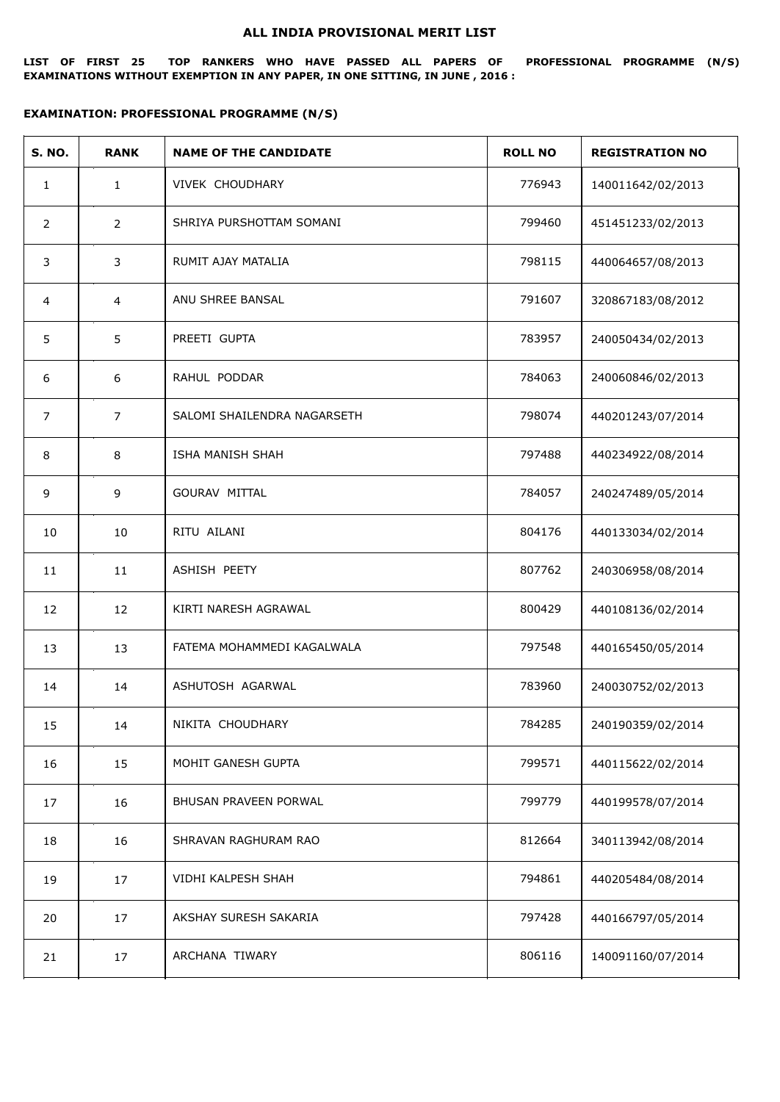## **ALL INDIA PROVISIONAL MERIT LIST**

**LIST OF FIRST 25 TOP RANKERS WHO HAVE PASSED ALL PAPERS OF PROFESSIONAL PROGRAMME (N/S) EXAMINATIONS WITHOUT EXEMPTION IN ANY PAPER, IN ONE SITTING, IN JUNE , 2016 :**

## **EXAMINATION: PROFESSIONAL PROGRAMME (N/S)**

| <b>S. NO.</b>  | <b>RANK</b>    | <b>NAME OF THE CANDIDATE</b> | <b>ROLL NO</b> | <b>REGISTRATION NO</b> |
|----------------|----------------|------------------------------|----------------|------------------------|
| $\mathbf{1}$   | $\mathbf{1}$   | VIVEK CHOUDHARY              | 776943         | 140011642/02/2013      |
| 2              | $\overline{2}$ | SHRIYA PURSHOTTAM SOMANI     | 799460         | 451451233/02/2013      |
| 3              | 3              | RUMIT AJAY MATALIA           | 798115         | 440064657/08/2013      |
| 4              | 4              | ANU SHREE BANSAL             | 791607         | 320867183/08/2012      |
| 5              | 5              | PREETI GUPTA                 | 783957         | 240050434/02/2013      |
| 6              | 6              | RAHUL PODDAR                 | 784063         | 240060846/02/2013      |
| $\overline{7}$ | $\overline{7}$ | SALOMI SHAILENDRA NAGARSETH  | 798074         | 440201243/07/2014      |
| 8              | 8              | ISHA MANISH SHAH             | 797488         | 440234922/08/2014      |
| 9              | 9              | GOURAV MITTAL                | 784057         | 240247489/05/2014      |
| 10             | 10             | RITU AILANI                  | 804176         | 440133034/02/2014      |
| 11             | 11             | ASHISH PEETY                 | 807762         | 240306958/08/2014      |
| 12             | 12             | KIRTI NARESH AGRAWAL         | 800429         | 440108136/02/2014      |
| 13             | 13             | FATEMA MOHAMMEDI KAGALWALA   | 797548         | 440165450/05/2014      |
| 14             | 14             | ASHUTOSH AGARWAL             | 783960         | 240030752/02/2013      |
| 15             | 14             | NIKITA CHOUDHARY             | 784285         | 240190359/02/2014      |
| 16             | 15             | MOHIT GANESH GUPTA           | 799571         | 440115622/02/2014      |
| 17             | 16             | BHUSAN PRAVEEN PORWAL        | 799779         | 440199578/07/2014      |
| 18             | 16             | SHRAVAN RAGHURAM RAO         | 812664         | 340113942/08/2014      |
| 19             | 17             | VIDHI KALPESH SHAH           | 794861         | 440205484/08/2014      |
| 20             | 17             | AKSHAY SURESH SAKARIA        | 797428         | 440166797/05/2014      |
| 21             | 17             | ARCHANA TIWARY               | 806116         | 140091160/07/2014      |